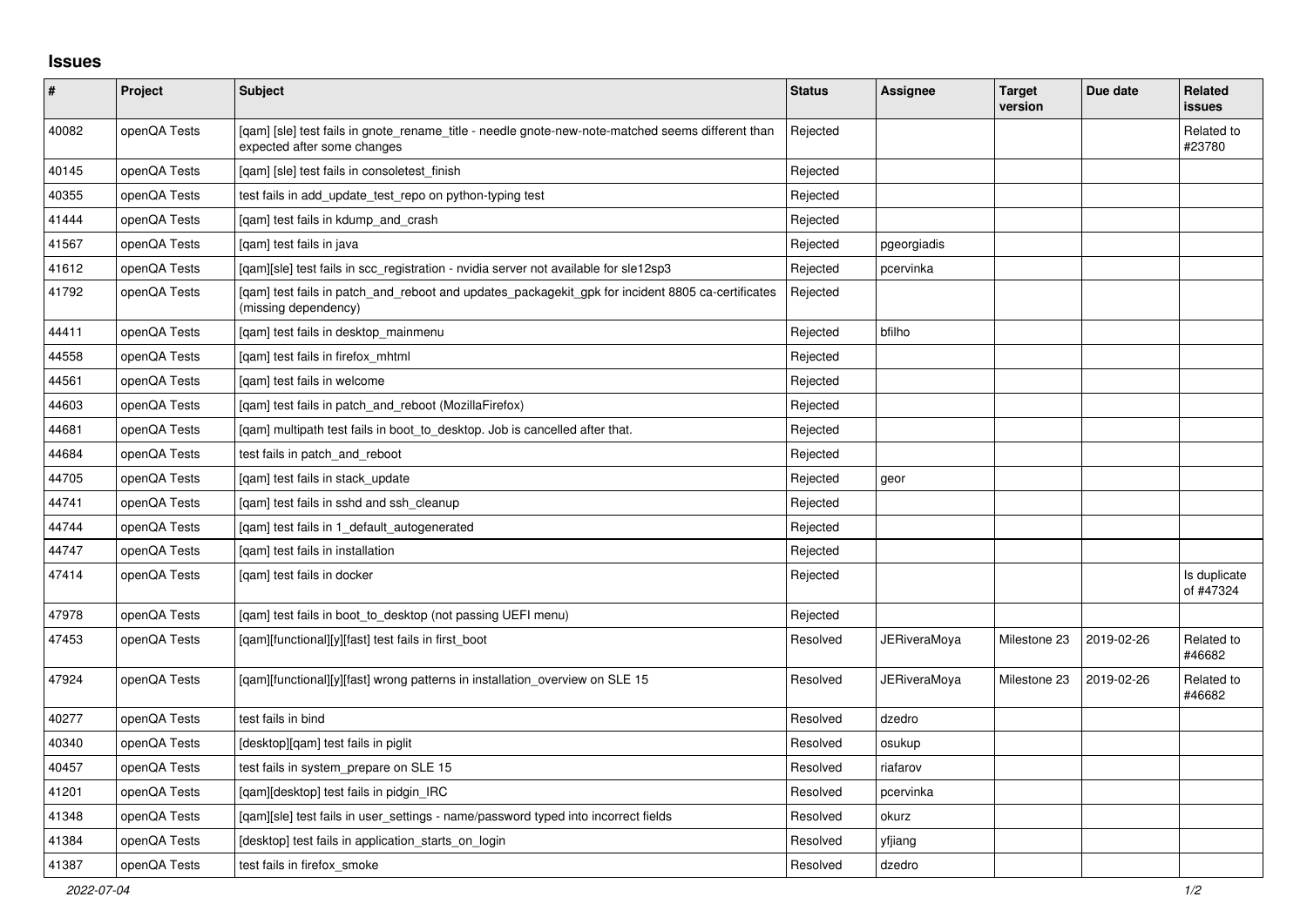## **Issues**

| $\pmb{\#}$ | Project      | <b>Subject</b>                                                                                                                   | <b>Status</b> | <b>Assignee</b> | <b>Target</b><br>version | Due date   | <b>Related</b><br>issues  |
|------------|--------------|----------------------------------------------------------------------------------------------------------------------------------|---------------|-----------------|--------------------------|------------|---------------------------|
| 40082      | openQA Tests | [qam] [sle] test fails in gnote_rename_title - needle gnote-new-note-matched seems different than<br>expected after some changes | Rejected      |                 |                          |            | Related to<br>#23780      |
| 40145      | openQA Tests | [gam] [sle] test fails in consoletest finish                                                                                     | Rejected      |                 |                          |            |                           |
| 40355      | openQA Tests | test fails in add update test repo on python-typing test                                                                         | Rejected      |                 |                          |            |                           |
| 41444      | openQA Tests | [gam] test fails in kdump and crash                                                                                              | Rejected      |                 |                          |            |                           |
| 41567      | openQA Tests | [gam] test fails in java                                                                                                         | Rejected      | pgeorgiadis     |                          |            |                           |
| 41612      | openQA Tests | [qam][sle] test fails in scc_registration - nvidia server not available for sle12sp3                                             | Rejected      | pcervinka       |                          |            |                           |
| 41792      | openQA Tests | [qam] test fails in patch_and_reboot and updates_packagekit_gpk for incident 8805 ca-certificates<br>(missing dependency)        | Rejected      |                 |                          |            |                           |
| 44411      | openQA Tests | [qam] test fails in desktop_mainmenu                                                                                             | Rejected      | bfilho          |                          |            |                           |
| 44558      | openQA Tests | [qam] test fails in firefox_mhtml                                                                                                | Rejected      |                 |                          |            |                           |
| 44561      | openQA Tests | [gam] test fails in welcome                                                                                                      | Rejected      |                 |                          |            |                           |
| 44603      | openQA Tests | [gam] test fails in patch and reboot (MozillaFirefox)                                                                            | Rejected      |                 |                          |            |                           |
| 44681      | openQA Tests | [gam] multipath test fails in boot to desktop. Job is cancelled after that.                                                      | Rejected      |                 |                          |            |                           |
| 44684      | openQA Tests | test fails in patch and reboot                                                                                                   | Rejected      |                 |                          |            |                           |
| 44705      | openQA Tests | [gam] test fails in stack update                                                                                                 | Rejected      | geor            |                          |            |                           |
| 44741      | openQA Tests | [qam] test fails in sshd and ssh_cleanup                                                                                         | Rejected      |                 |                          |            |                           |
| 44744      | openQA Tests | [qam] test fails in 1_default_autogenerated                                                                                      | Rejected      |                 |                          |            |                           |
| 44747      | openQA Tests | [gam] test fails in installation                                                                                                 | Rejected      |                 |                          |            |                           |
| 47414      | openQA Tests | [gam] test fails in docker                                                                                                       | Rejected      |                 |                          |            | Is duplicate<br>of #47324 |
| 47978      | openQA Tests | [gam] test fails in boot to desktop (not passing UEFI menu)                                                                      | Rejected      |                 |                          |            |                           |
| 47453      | openQA Tests | [qam][functional][y][fast] test fails in first_boot                                                                              | Resolved      | JERiveraMoya    | Milestone 23             | 2019-02-26 | Related to<br>#46682      |
| 47924      | openQA Tests | [gam][functional][y][fast] wrong patterns in installation overview on SLE 15                                                     | Resolved      | JERiveraMoya    | Milestone 23             | 2019-02-26 | Related to<br>#46682      |
| 40277      | openQA Tests | test fails in bind                                                                                                               | Resolved      | dzedro          |                          |            |                           |
| 40340      | openQA Tests | [desktop][qam] test fails in piglit                                                                                              | Resolved      | osukup          |                          |            |                           |
| 40457      | openQA Tests | test fails in system prepare on SLE 15                                                                                           | Resolved      | riafarov        |                          |            |                           |
| 41201      | openQA Tests | [gam][desktop] test fails in pidgin IRC                                                                                          | Resolved      | pcervinka       |                          |            |                           |
| 41348      | openQA Tests | [gam][sle] test fails in user settings - name/password typed into incorrect fields                                               | Resolved      | okurz           |                          |            |                           |
| 41384      | openQA Tests | [desktop] test fails in application starts on login                                                                              | Resolved      | yfjiang         |                          |            |                           |
| 41387      | openQA Tests | test fails in firefox smoke                                                                                                      | Resolved      | dzedro          |                          |            |                           |